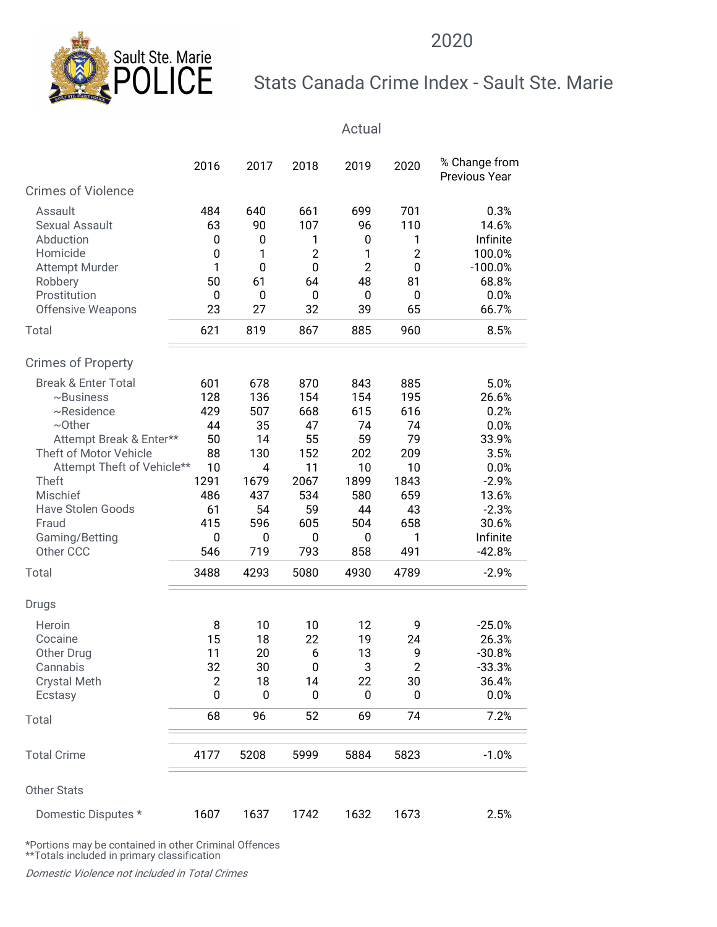

## Stats Canada Crime Index - Sault Ste. Marie

| Sault Ste. Marie                                                                                     |             |                                |                  |                  |                              | 2020                                        |  |
|------------------------------------------------------------------------------------------------------|-------------|--------------------------------|------------------|------------------|------------------------------|---------------------------------------------|--|
|                                                                                                      |             |                                |                  |                  |                              | Stats Canada Crime Index - Sault Ste. Marie |  |
|                                                                                                      |             |                                |                  | Actual           |                              |                                             |  |
|                                                                                                      | 2016        | 2017                           | 2018             | 2019             | 2020                         | % Change from<br>Previous Year              |  |
| <b>Crimes of Violence</b>                                                                            |             |                                |                  |                  |                              |                                             |  |
| Assault                                                                                              | 484         | 640                            | 661              | 699              | 701                          | 0.3%                                        |  |
| Sexual Assault                                                                                       | 63          | 90                             | 107              | 96               | 110                          | 14.6%                                       |  |
| Abduction<br>Homicide                                                                                | 0<br>0      | 0                              | 1<br>2           | 0<br>1           | 1<br>$\overline{\mathbf{c}}$ | Infinite<br>100.0%                          |  |
| Attempt Murder                                                                                       |             | $\mathbf 0$                    | $\boldsymbol{0}$ | $\overline{2}$   | $\pmb{0}$                    | $-100.0%$                                   |  |
| Robbery                                                                                              | 50          | 61                             | 64               | 48               | 81                           | 68.8%                                       |  |
| Prostitution                                                                                         | $\mathbf 0$ | $\boldsymbol{0}$               | 0                | $\bf{0}$         | $\boldsymbol{0}$             | 0.0%                                        |  |
| Offensive Weapons                                                                                    | 23          | 27                             | 32               | 39               | 65                           | 66.7%                                       |  |
| Total                                                                                                | 621         | 819                            | 867              | 885              | 960                          | 8.5%                                        |  |
| <b>Crimes of Property</b>                                                                            |             |                                |                  |                  |                              |                                             |  |
| <b>Break &amp; Enter Total</b>                                                                       | 601         | 678                            | 870              | 843              | 885                          | 5.0%                                        |  |
| $~\sim$ Business                                                                                     | 128         | 136                            | 154              | 154              | 195                          | 26.6%                                       |  |
| $~\sim$ Residence                                                                                    | 429         | 507                            | 668              | 615              | 616                          | 0.2%                                        |  |
| $\sim$ Other                                                                                         | 44          | 35                             | 47               | 74               | 74                           | 0.0%                                        |  |
| Attempt Break & Enter**                                                                              | 50          | 14                             | 55               | 59               | 79                           | 33.9%                                       |  |
| Theft of Motor Vehicle<br>Attempt Theft of Vehicle**                                                 | 88<br>10    | 130<br>$\overline{\mathbf{4}}$ | 152<br>11        | 202<br>10        | 209<br>10                    | 3.5%<br>0.0%                                |  |
| Theft                                                                                                | 1291        | 1679                           | 2067             | 1899             | 1843                         | $-2.9%$                                     |  |
| Mischief                                                                                             | 486         | 437                            | 534              | 580              | 659                          | 13.6%                                       |  |
| Have Stolen Goods                                                                                    | 61          | 54                             | 59               | 44               | 43                           | $-2.3%$                                     |  |
| Fraud                                                                                                | 415         | 596                            | 605              | 504              | 658                          | 30.6%                                       |  |
| Gaming/Betting                                                                                       | $\bf{0}$    | 0                              | $\bf{0}$         | $\boldsymbol{0}$ | 1                            | Infinite                                    |  |
| Other CCC                                                                                            | 546         | 719                            | 793              | 858              | 491                          | $-42.8%$                                    |  |
| Total                                                                                                | 3488        | 4293                           | 5080             | 4930             | 4789                         | $-2.9%$                                     |  |
| Drugs                                                                                                |             |                                |                  |                  |                              |                                             |  |
| Heroin                                                                                               | 8           | 10                             | 10               | 12               | 9                            | $-25.0%$                                    |  |
| Cocaine                                                                                              | 15          | 18                             | 22               | 19               | 24                           | 26.3%                                       |  |
| Other Drug                                                                                           | 11          | 20                             | 6                | 13               | 9                            | $-30.8%$                                    |  |
| Cannabis                                                                                             | 32          | 30                             | 0                | 3                | $\overline{c}$               | $-33.3%$                                    |  |
| <b>Crystal Meth</b>                                                                                  | 2<br>0      | 18<br>0                        | 14<br>0          | 22<br>0          | 30<br>0                      | 36.4%<br>0.0%                               |  |
| Ecstasy<br>Total                                                                                     | 68          | 96                             | 52               | 69               | 74                           | 7.2%                                        |  |
|                                                                                                      |             |                                |                  |                  |                              |                                             |  |
| <b>Total Crime</b>                                                                                   | 4177        | 5208                           | 5999             | 5884             | 5823                         | $-1.0%$                                     |  |
| Other Stats                                                                                          |             |                                |                  |                  |                              |                                             |  |
| Domestic Disputes *                                                                                  | 1607        | 1637                           | 1742             | 1632             | 1673                         | 2.5%                                        |  |
| *Portions may be contained in other Criminal Offences<br>**Totals included in primary classification |             |                                |                  |                  |                              |                                             |  |
|                                                                                                      |             |                                |                  |                  |                              |                                             |  |
| Domestic Violence not included in Total Crimes                                                       |             |                                |                  |                  |                              |                                             |  |